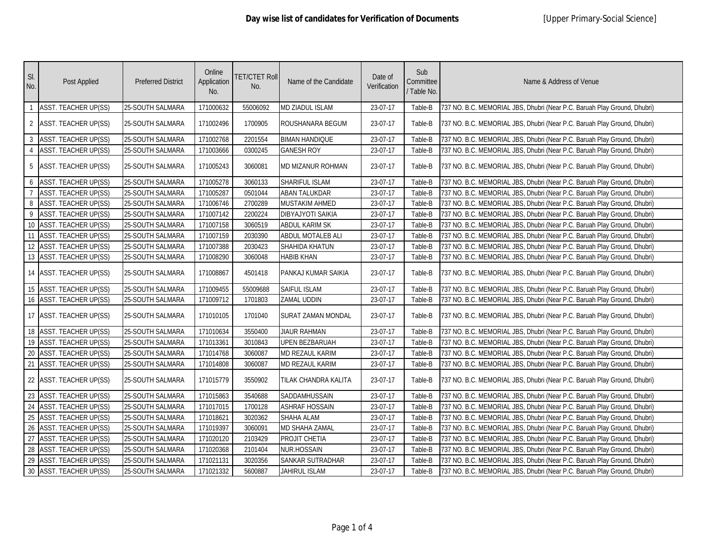| SI.<br>No.      | Post Applied                | <b>Preferred District</b> | Online<br>Application<br>No. | <b>TET/CTET Roll</b><br>No. | Name of the Candidate     | Date of<br>Verification | Sub<br>Committee<br>/ Table No. | Name & Address of Venue                                                  |
|-----------------|-----------------------------|---------------------------|------------------------------|-----------------------------|---------------------------|-------------------------|---------------------------------|--------------------------------------------------------------------------|
| $\overline{1}$  | <b>ASST. TEACHER UP(SS)</b> | 25-SOUTH SALMARA          | 171000632                    | 55006092                    | MD ZIADUL ISLAM           | 23-07-17                | Table-B                         | 737 NO. B.C. MEMORIAL JBS, Dhubri (Near P.C. Baruah Play Ground, Dhubri) |
| 2               | <b>ASST. TEACHER UP(SS)</b> | 25-SOUTH SALMARA          | 171002496                    | 1700905                     | ROUSHANARA BEGUM          | 23-07-17                | Table-B                         | 737 NO. B.C. MEMORIAL JBS, Dhubri (Near P.C. Baruah Play Ground, Dhubri) |
| $\overline{3}$  | <b>ASST. TEACHER UP(SS)</b> | 25-SOUTH SALMARA          | 171002768                    | 2201554                     | <b>BIMAN HANDIQUE</b>     | 23-07-17                | Table-B                         | 737 NO. B.C. MEMORIAL JBS, Dhubri (Near P.C. Baruah Play Ground, Dhubri) |
| $\overline{4}$  | <b>ASST. TEACHER UP(SS)</b> | 25-SOUTH SALMARA          | 171003666                    | 0300245                     | <b>GANESH ROY</b>         | 23-07-17                | Table-B                         | 737 NO. B.C. MEMORIAL JBS, Dhubri (Near P.C. Baruah Play Ground, Dhubri) |
| -5              | <b>ASST. TEACHER UP(SS)</b> | <b>25-SOUTH SALMARA</b>   | 171005243                    | 3060081                     | MD MIZANUR ROHMAN         | 23-07-17                | Table-B                         | 737 NO. B.C. MEMORIAL JBS, Dhubri (Near P.C. Baruah Play Ground, Dhubri) |
| 6               | ASST. TEACHER UP(SS)        | 25-SOUTH SALMARA          | 171005278                    | 3060133                     | SHARIFUL ISLAM            | 23-07-17                | Table-B                         | 737 NO. B.C. MEMORIAL JBS, Dhubri (Near P.C. Baruah Play Ground, Dhubri) |
| $\overline{7}$  | ASST. TEACHER UP(SS)        | 25-SOUTH SALMARA          | 171005287                    | 0501044                     | ABAN TALUKDAR             | 23-07-17                | Table-B                         | 737 NO. B.C. MEMORIAL JBS, Dhubri (Near P.C. Baruah Play Ground, Dhubri) |
| 8               | <b>ASST. TEACHER UP(SS)</b> | 25-SOUTH SALMARA          | 171006746                    | 2700289                     | MUSTAKIM AHMED            | 23-07-17                | Table-B                         | 737 NO. B.C. MEMORIAL JBS, Dhubri (Near P.C. Baruah Play Ground, Dhubri) |
| 9               | ASST. TEACHER UP(SS)        | 25-SOUTH SALMARA          | 171007142                    | 2200224                     | DIBYAJYOTI SAIKIA         | 23-07-17                | Table-B                         | 737 NO. B.C. MEMORIAL JBS, Dhubri (Near P.C. Baruah Play Ground, Dhubri) |
| 10              | <b>ASST. TEACHER UP(SS)</b> | 25-SOUTH SALMARA          | 171007158                    | 3060519                     | ABDUL KARIM SK            | 23-07-17                | Table-B                         | 737 NO. B.C. MEMORIAL JBS, Dhubri (Near P.C. Baruah Play Ground, Dhubri) |
| 11              | <b>ASST. TEACHER UP(SS)</b> | 25-SOUTH SALMARA          | 171007159                    | 2030390                     | ABDUL MOTALEB ALI         | 23-07-17                | Table-B                         | 737 NO. B.C. MEMORIAL JBS, Dhubri (Near P.C. Baruah Play Ground, Dhubri) |
|                 | 12 ASST. TEACHER UP(SS)     | 25-SOUTH SALMARA          | 171007388                    | 2030423                     | SHAHIDA KHATUN            | 23-07-17                | Table-B                         | 737 NO. B.C. MEMORIAL JBS, Dhubri (Near P.C. Baruah Play Ground, Dhubri) |
|                 | 13 ASST. TEACHER UP(SS)     | 25-SOUTH SALMARA          | 171008290                    | 3060048                     | <b>HABIB KHAN</b>         | 23-07-17                | Table-B                         | 737 NO. B.C. MEMORIAL JBS, Dhubri (Near P.C. Baruah Play Ground, Dhubri) |
|                 | 14 ASST. TEACHER UP(SS)     | <b>25-SOUTH SALMARA</b>   | 171008867                    | 4501418                     | PANKAJ KUMAR SAIKIA       | 23-07-17                | Table-B                         | 737 NO. B.C. MEMORIAL JBS, Dhubri (Near P.C. Baruah Play Ground, Dhubri) |
|                 | 15 ASST. TEACHER UP(SS)     | 25-SOUTH SALMARA          | 171009455                    | 55009688                    | SAIFUL ISLAM              | 23-07-17                | Table-B                         | 737 NO. B.C. MEMORIAL JBS, Dhubri (Near P.C. Baruah Play Ground, Dhubri) |
|                 | 16 ASST. TEACHER UP(SS)     | <b>25-SOUTH SALMARA</b>   | 171009712                    | 1701803                     | ZAMAL UDDIN               | 23-07-17                | Table-B                         | 737 NO. B.C. MEMORIAL JBS, Dhubri (Near P.C. Baruah Play Ground, Dhubri) |
|                 | 17 ASST. TEACHER UP(SS)     | 25-SOUTH SALMARA          | 171010105                    | 1701040                     | <b>SURAT ZAMAN MONDAL</b> | 23-07-17                | Table-B                         | 737 NO. B.C. MEMORIAL JBS, Dhubri (Near P.C. Baruah Play Ground, Dhubri) |
|                 | 18 ASST. TEACHER UP(SS)     | 25-SOUTH SALMARA          | 171010634                    | 3550400                     | <b>JIAUR RAHMAN</b>       | 23-07-17                | Table-B                         | 737 NO. B.C. MEMORIAL JBS, Dhubri (Near P.C. Baruah Play Ground, Dhubri) |
|                 | 19 ASST. TEACHER UP(SS)     | 25-SOUTH SALMARA          | 171013361                    | 3010843                     | UPEN BEZBARUAH            | 23-07-17                | Table-B                         | 737 NO. B.C. MEMORIAL JBS, Dhubri (Near P.C. Baruah Play Ground, Dhubri) |
| $20\,$          | ASST. TEACHER UP(SS)        | 25-SOUTH SALMARA          | 171014768                    | 3060087                     | MD REZAUL KARIM           | 23-07-17                | Table-B                         | 737 NO. B.C. MEMORIAL JBS, Dhubri (Near P.C. Baruah Play Ground, Dhubri) |
|                 | 21 ASST. TEACHER UP(SS)     | 25-SOUTH SALMARA          | 171014808                    | 3060087                     | MD REZAUL KARIM           | 23-07-17                | Table-B                         | 737 NO. B.C. MEMORIAL JBS, Dhubri (Near P.C. Baruah Play Ground, Dhubri) |
|                 | 22 ASST. TEACHER UP(SS)     | 25-SOUTH SALMARA          | 171015779                    | 3550902                     | TILAK CHANDRA KALITA      | 23-07-17                | Table-B                         | 737 NO. B.C. MEMORIAL JBS, Dhubri (Near P.C. Baruah Play Ground, Dhubri) |
|                 | 23 ASST. TEACHER UP(SS)     | 25-SOUTH SALMARA          | 171015863                    | 3540688                     | SADDAMHUSSAIN             | 23-07-17                | Table-B                         | 737 NO. B.C. MEMORIAL JBS, Dhubri (Near P.C. Baruah Play Ground, Dhubri) |
| 24              | <b>ASST. TEACHER UP(SS)</b> | 25-SOUTH SALMARA          | 171017015                    | 1700128                     | <b>ASHRAF HOSSAIN</b>     | 23-07-17                | Table-B                         | 737 NO. B.C. MEMORIAL JBS, Dhubri (Near P.C. Baruah Play Ground, Dhubri) |
| 25              | <b>ASST. TEACHER UP(SS)</b> | 25-SOUTH SALMARA          | 171018621                    | 3020362                     | SHAHA ALAM                | 23-07-17                | Table-B                         | 737 NO. B.C. MEMORIAL JBS, Dhubri (Near P.C. Baruah Play Ground, Dhubri) |
| $26\phantom{.}$ | ASST. TEACHER UP(SS)        | 25-SOUTH SALMARA          | 171019397                    | 3060091                     | MD SHAHA ZAMAL            | 23-07-17                | Table-B                         | 737 NO. B.C. MEMORIAL JBS, Dhubri (Near P.C. Baruah Play Ground, Dhubri) |
| 27              | <b>ASST. TEACHER UP(SS)</b> | 25-SOUTH SALMARA          | 171020120                    | 2103429                     | PROJIT CHETIA             | 23-07-17                | Table-B                         | 737 NO. B.C. MEMORIAL JBS, Dhubri (Near P.C. Baruah Play Ground, Dhubri) |
| 28              | <b>ASST. TEACHER UP(SS)</b> | 25-SOUTH SALMARA          | 171020368                    | 2101404                     | NUR.HOSSAIN               | 23-07-17                | Table-B                         | 737 NO. B.C. MEMORIAL JBS, Dhubri (Near P.C. Baruah Play Ground, Dhubri) |
|                 | 29 ASST. TEACHER UP(SS)     | 25-SOUTH SALMARA          | 171021131                    | 3020356                     | SANKAR SUTRADHAR          | 23-07-17                | Table-B                         | 737 NO. B.C. MEMORIAL JBS, Dhubri (Near P.C. Baruah Play Ground, Dhubri) |
|                 | 30 ASST. TEACHER UP(SS)     | 25-SOUTH SALMARA          | 171021332                    | 5600887                     | <b>JAHIRUL ISLAM</b>      | 23-07-17                | Table-B                         | 737 NO. B.C. MEMORIAL JBS, Dhubri (Near P.C. Baruah Play Ground, Dhubri) |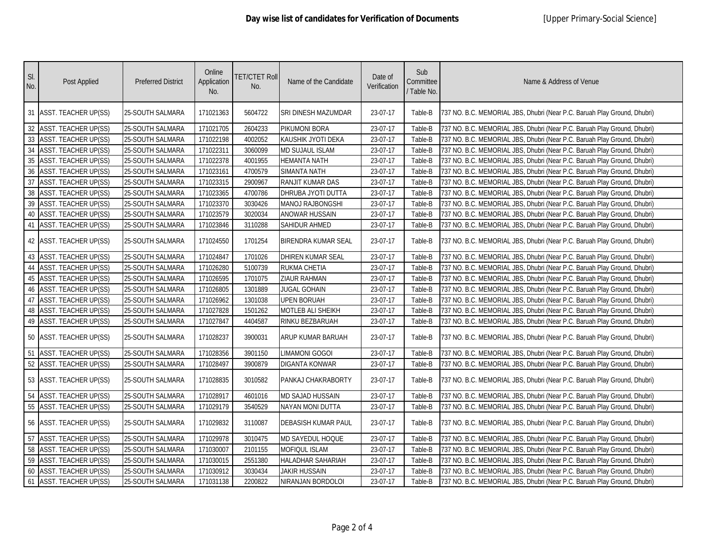| SI.<br>No. | Post Applied                | <b>Preferred District</b> | Online<br>Application<br>No. | <b>TET/CTET Roll</b><br>No. | Name of the Candidate      | Date of<br>Verification | Sub<br>Committee<br>/ Table No. | Name & Address of Venue                                                  |
|------------|-----------------------------|---------------------------|------------------------------|-----------------------------|----------------------------|-------------------------|---------------------------------|--------------------------------------------------------------------------|
|            | 31 ASST. TEACHER UP(SS)     | 25-SOUTH SALMARA          | 171021363                    | 5604722                     | SRI DINESH MAZUMDAR        | 23-07-17                | Table-B                         | 737 NO. B.C. MEMORIAL JBS, Dhubri (Near P.C. Baruah Play Ground, Dhubri) |
|            | 32 ASST. TEACHER UP(SS)     | 25-SOUTH SALMARA          | 171021705                    | 2604233                     | PIKUMONI BORA              | 23-07-17                | Table-B                         | 737 NO. B.C. MEMORIAL JBS, Dhubri (Near P.C. Baruah Play Ground, Dhubri) |
|            | 33 ASST. TEACHER UP(SS)     | 25-SOUTH SALMARA          | 171022198                    | 4002052                     | KAUSHIK JYOTI DEKA         | 23-07-17                | Table-B                         | 737 NO. B.C. MEMORIAL JBS, Dhubri (Near P.C. Baruah Play Ground, Dhubri) |
|            | 34 ASST. TEACHER UP(SS)     | 25-SOUTH SALMARA          | 171022311                    | 3060099                     | <b>MD SUJAUL ISLAM</b>     | 23-07-17                | Table-B                         | 737 NO. B.C. MEMORIAL JBS, Dhubri (Near P.C. Baruah Play Ground, Dhubri) |
| $35\,$     | <b>ASST. TEACHER UP(SS)</b> | 25-SOUTH SALMARA          | 171022378                    | 4001955                     | <b>HEMANTA NATH</b>        | 23-07-17                | Table-B                         | 737 NO. B.C. MEMORIAL JBS, Dhubri (Near P.C. Baruah Play Ground, Dhubri) |
| 36         | <b>ASST. TEACHER UP(SS)</b> | 25-SOUTH SALMARA          | 171023161                    | 4700579                     | <b>SIMANTA NATH</b>        | 23-07-17                | Table-B                         | 737 NO. B.C. MEMORIAL JBS, Dhubri (Near P.C. Baruah Play Ground, Dhubri) |
| 37         | ASST. TEACHER UP(SS)        | 25-SOUTH SALMARA          | 171023315                    | 2900967                     | RANJIT KUMAR DAS           | 23-07-17                | Table-B                         | 737 NO. B.C. MEMORIAL JBS, Dhubri (Near P.C. Baruah Play Ground, Dhubri) |
| 38         | <b>ASST. TEACHER UP(SS)</b> | 25-SOUTH SALMARA          | 171023365                    | 4700786                     | DHRUBA JYOTI DUTTA         | 23-07-17                | Table-B                         | 737 NO. B.C. MEMORIAL JBS, Dhubri (Near P.C. Baruah Play Ground, Dhubri) |
| 39         | <b>ASST. TEACHER UP(SS)</b> | 25-SOUTH SALMARA          | 171023370                    | 3030426                     | <b>MANOJ RAJBONGSHI</b>    | 23-07-17                | Table-B                         | 737 NO. B.C. MEMORIAL JBS, Dhubri (Near P.C. Baruah Play Ground, Dhubri) |
| 40         | ASST. TEACHER UP(SS)        | 25-SOUTH SALMARA          | 171023579                    | 3020034                     | ANOWAR HUSSAIN             | 23-07-17                | Table-B                         | 737 NO. B.C. MEMORIAL JBS, Dhubri (Near P.C. Baruah Play Ground, Dhubri) |
| 41         | ASST. TEACHER UP(SS)        | 25-SOUTH SALMARA          | 171023846                    | 3110288                     | <b>SAHIDUR AHMED</b>       | 23-07-17                | Table-B                         | 737 NO. B.C. MEMORIAL JBS, Dhubri (Near P.C. Baruah Play Ground, Dhubri) |
|            | 42 ASST. TEACHER UP(SS)     | 25-SOUTH SALMARA          | 171024550                    | 1701254                     | <b>BIRENDRA KUMAR SEAL</b> | 23-07-17                | Table-B                         | 737 NO. B.C. MEMORIAL JBS, Dhubri (Near P.C. Baruah Play Ground, Dhubri) |
|            | 43 ASST. TEACHER UP(SS)     | 25-SOUTH SALMARA          | 171024847                    | 1701026                     | <b>DHIREN KUMAR SEAL</b>   | 23-07-17                | Table-B                         | 737 NO. B.C. MEMORIAL JBS, Dhubri (Near P.C. Baruah Play Ground, Dhubri) |
|            | 44 ASST. TEACHER UP(SS)     | 25-SOUTH SALMARA          | 171026280                    | 5100739                     | <b>RUKMA CHETIA</b>        | 23-07-17                | Table-B                         | 737 NO. B.C. MEMORIAL JBS, Dhubri (Near P.C. Baruah Play Ground, Dhubri) |
| 45         | <b>ASST. TEACHER UP(SS)</b> | 25-SOUTH SALMARA          | 171026595                    | 1701075                     | ZIAUR RAHMAN               | 23-07-17                | Table-B                         | 737 NO. B.C. MEMORIAL JBS, Dhubri (Near P.C. Baruah Play Ground, Dhubri) |
| 46         | <b>ASST. TEACHER UP(SS)</b> | 25-SOUTH SALMARA          | 171026805                    | 1301889                     | <b>JUGAL GOHAIN</b>        | 23-07-17                | Table-B                         | 737 NO. B.C. MEMORIAL JBS, Dhubri (Near P.C. Baruah Play Ground, Dhubri) |
| 47         | <b>ASST. TEACHER UP(SS)</b> | 25-SOUTH SALMARA          | 171026962                    | 1301038                     | <b>UPEN BORUAH</b>         | 23-07-17                | Table-B                         | 737 NO. B.C. MEMORIAL JBS, Dhubri (Near P.C. Baruah Play Ground, Dhubri) |
| 48         | <b>ASST. TEACHER UP(SS)</b> | 25-SOUTH SALMARA          | 171027828                    | 1501262                     | MOTLEB ALI SHEIKH          | 23-07-17                | Table-B                         | 737 NO. B.C. MEMORIAL JBS, Dhubri (Near P.C. Baruah Play Ground, Dhubri) |
|            | 49 ASST. TEACHER UP(SS)     | 25-SOUTH SALMARA          | 171027847                    | 4404587                     | RINKU BEZBARUAH            | 23-07-17                | Table-B                         | 737 NO. B.C. MEMORIAL JBS, Dhubri (Near P.C. Baruah Play Ground, Dhubri) |
|            | 50 ASST. TEACHER UP(SS)     | 25-SOUTH SALMARA          | 171028237                    | 3900031                     | ARUP KUMAR BARUAH          | 23-07-17                | Table-B                         | 737 NO. B.C. MEMORIAL JBS, Dhubri (Near P.C. Baruah Play Ground, Dhubri) |
| 51         | ASST. TEACHER UP(SS)        | 25-SOUTH SALMARA          | 171028356                    | 3901150                     | <b>LIMAMONI GOGOI</b>      | 23-07-17                | Table-B                         | 737 NO. B.C. MEMORIAL JBS, Dhubri (Near P.C. Baruah Play Ground, Dhubri) |
|            | 52 ASST. TEACHER UP(SS)     | 25-SOUTH SALMARA          | 171028497                    | 3900879                     | <b>DIGANTA KONWAR</b>      | 23-07-17                | Table-B                         | 737 NO. B.C. MEMORIAL JBS, Dhubri (Near P.C. Baruah Play Ground, Dhubri) |
|            | 53 ASST. TEACHER UP(SS)     | 25-SOUTH SALMARA          | 171028835                    | 3010582                     | PANKAJ CHAKRABORTY         | 23-07-17                | Table-B                         | 737 NO. B.C. MEMORIAL JBS, Dhubri (Near P.C. Baruah Play Ground, Dhubri) |
|            | 54 ASST. TEACHER UP(SS)     | 25-SOUTH SALMARA          | 171028917                    | 4601016                     | <b>MD SAJAD HUSSAIN</b>    | 23-07-17                | Table-B                         | 737 NO. B.C. MEMORIAL JBS, Dhubri (Near P.C. Baruah Play Ground, Dhubri) |
|            | 55 ASST. TEACHER UP(SS)     | 25-SOUTH SALMARA          | 171029179                    | 3540529                     | <b>NAYAN MONI DUTTA</b>    | 23-07-17                | Table-B                         | 737 NO. B.C. MEMORIAL JBS, Dhubri (Near P.C. Baruah Play Ground, Dhubri) |
|            | 56 ASST. TEACHER UP(SS)     | <b>25-SOUTH SALMARA</b>   | 171029832                    | 3110087                     | <b>DEBASISH KUMAR PAUL</b> | 23-07-17                | Table-B                         | 737 NO. B.C. MEMORIAL JBS, Dhubri (Near P.C. Baruah Play Ground, Dhubri) |
| 57         | <b>ASST. TEACHER UP(SS)</b> | 25-SOUTH SALMARA          | 171029978                    | 3010475                     | MD SAYEDUL HOQUE           | 23-07-17                | Table-B                         | 737 NO. B.C. MEMORIAL JBS, Dhubri (Near P.C. Baruah Play Ground, Dhubri) |
| 58         | <b>ASST. TEACHER UP(SS)</b> | 25-SOUTH SALMARA          | 171030007                    | 2101155                     | MOFIQUL ISLAM              | 23-07-17                | Table-B                         | 737 NO. B.C. MEMORIAL JBS, Dhubri (Near P.C. Baruah Play Ground, Dhubri) |
|            | 59 ASST. TEACHER UP(SS)     | 25-SOUTH SALMARA          | 171030015                    | 2551380                     | HALADHAR SAHARIAH          | 23-07-17                | Table-B                         | 737 NO. B.C. MEMORIAL JBS, Dhubri (Near P.C. Baruah Play Ground, Dhubri) |
| 60         | <b>ASST. TEACHER UP(SS)</b> | 25-SOUTH SALMARA          | 171030912                    | 3030434                     | <b>JAKIR HUSSAIN</b>       | 23-07-17                | Table-B                         | 737 NO. B.C. MEMORIAL JBS, Dhubri (Near P.C. Baruah Play Ground, Dhubri) |
|            | 61 ASST. TEACHER UP(SS)     | 25-SOUTH SALMARA          | 171031138                    | 2200822                     | NIRANJAN BORDOLOI          | 23-07-17                | Table-B                         | 737 NO. B.C. MEMORIAL JBS, Dhubri (Near P.C. Baruah Play Ground, Dhubri) |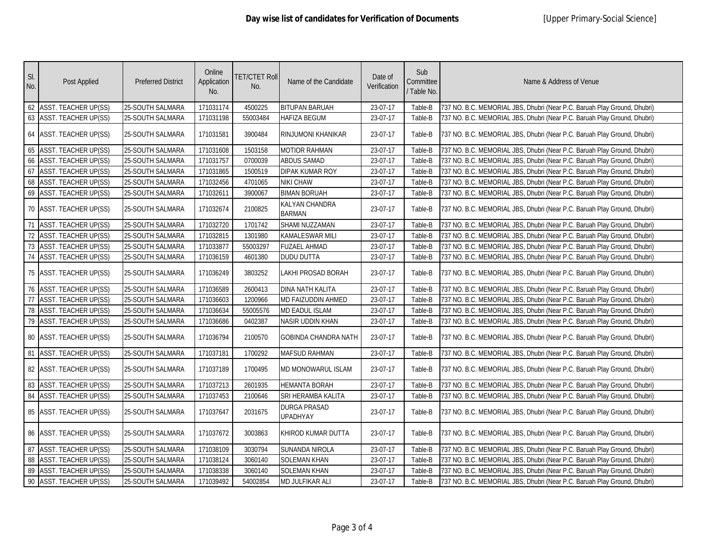| SI.<br>No.      | Post Applied                | <b>Preferred District</b> | Online<br>Application<br>No. | <b>TET/CTET Roll</b><br>No. | Name of the Candidate                  | Date of<br>Verification | Sub<br>Committee<br>/ Table No. | Name & Address of Venue                                                  |
|-----------------|-----------------------------|---------------------------|------------------------------|-----------------------------|----------------------------------------|-------------------------|---------------------------------|--------------------------------------------------------------------------|
| 62              | <b>ASST. TEACHER UP(SS)</b> | 25-SOUTH SALMARA          | 171031174                    | 4500225                     | <b>BITUPAN BARUAH</b>                  | 23-07-17                | Table-B                         | 737 NO. B.C. MEMORIAL JBS, Dhubri (Near P.C. Baruah Play Ground, Dhubri) |
| 63              | <b>ASST. TEACHER UP(SS)</b> | 25-SOUTH SALMARA          | 171031198                    | 55003484                    | <b>HAFIZA BEGUM</b>                    | 23-07-17                | Table-B                         | 737 NO. B.C. MEMORIAL JBS, Dhubri (Near P.C. Baruah Play Ground, Dhubri) |
|                 | 64 ASST. TEACHER UP(SS)     | 25-SOUTH SALMARA          | 171031581                    | 3900484                     | RINJUMONI KHANIKAR                     | 23-07-17                | Table-B                         | 737 NO. B.C. MEMORIAL JBS, Dhubri (Near P.C. Baruah Play Ground, Dhubri) |
| 65              | <b>ASST. TEACHER UP(SS)</b> | 25-SOUTH SALMARA          | 171031608                    | 1503158                     | <b>MOTIOR RAHMAN</b>                   | 23-07-17                | Table-B                         | 737 NO. B.C. MEMORIAL JBS, Dhubri (Near P.C. Baruah Play Ground, Dhubri) |
| 66              | <b>ASST. TEACHER UP(SS)</b> | 25-SOUTH SALMARA          | 171031757                    | 0700039                     | ABDUS SAMAD                            | 23-07-17                | Table-B                         | 737 NO. B.C. MEMORIAL JBS, Dhubri (Near P.C. Baruah Play Ground, Dhubri) |
| 67              | <b>ASST. TEACHER UP(SS)</b> | 25-SOUTH SALMARA          | 171031865                    | 1500519                     | <b>DIPAK KUMAR ROY</b>                 | 23-07-17                | Table-B                         | 737 NO. B.C. MEMORIAL JBS, Dhubri (Near P.C. Baruah Play Ground, Dhubri) |
| 68              | ASST. TEACHER UP(SS)        | 25-SOUTH SALMARA          | 171032456                    | 4701065                     | <b>NIKI CHAW</b>                       | 23-07-17                | Table-B                         | 737 NO. B.C. MEMORIAL JBS, Dhubri (Near P.C. Baruah Play Ground, Dhubri) |
| 69              | <b>ASST. TEACHER UP(SS)</b> | 25-SOUTH SALMARA          | 171032611                    | 3900067                     | <b>BIMAN BORUAH</b>                    | 23-07-17                | Table-B                         | 737 NO. B.C. MEMORIAL JBS, Dhubri (Near P.C. Baruah Play Ground, Dhubri) |
|                 | 70 ASST. TEACHER UP(SS)     | 25-SOUTH SALMARA          | 171032674                    | 2100825                     | KALYAN CHANDRA<br><b>BARMAN</b>        | 23-07-17                | Table-B                         | 737 NO. B.C. MEMORIAL JBS, Dhubri (Near P.C. Baruah Play Ground, Dhubri) |
| 71              | <b>ASST. TEACHER UP(SS)</b> | 25-SOUTH SALMARA          | 171032720                    | 1701742                     | SHAMI NUZZAMAN                         | 23-07-17                | Table-B                         | 737 NO. B.C. MEMORIAL JBS, Dhubri (Near P.C. Baruah Play Ground, Dhubri) |
| 72              | <b>ASST. TEACHER UP(SS)</b> | 25-SOUTH SALMARA          | 171032815                    | 1301980                     | <b>KAMALESWAR MILI</b>                 | 23-07-17                | Table-B                         | 737 NO. B.C. MEMORIAL JBS, Dhubri (Near P.C. Baruah Play Ground, Dhubri) |
| 73              | <b>ASST. TEACHER UP(SS)</b> | 25-SOUTH SALMARA          | 171033877                    | 55003297                    | <b>FUZAEL AHMAD</b>                    | 23-07-17                | Table-B                         | 737 NO. B.C. MEMORIAL JBS, Dhubri (Near P.C. Baruah Play Ground, Dhubri) |
| 74              | ASST. TEACHER UP(SS)        | 25-SOUTH SALMARA          | 171036159                    | 4601380                     | <b>DUDU DUTTA</b>                      | 23-07-17                | Table-B                         | 737 NO. B.C. MEMORIAL JBS, Dhubri (Near P.C. Baruah Play Ground, Dhubri) |
|                 | 75 ASST. TEACHER UP(SS)     | <b>25-SOUTH SALMARA</b>   | 171036249                    | 3803252                     | LAKHI PROSAD BORAH                     | 23-07-17                | Table-B                         | 737 NO. B.C. MEMORIAL JBS, Dhubri (Near P.C. Baruah Play Ground, Dhubri) |
|                 | 76 ASST. TEACHER UP(SS)     | 25-SOUTH SALMARA          | 171036589                    | 2600413                     | <b>DINA NATH KALITA</b>                | 23-07-17                | Table-B                         | 737 NO. B.C. MEMORIAL JBS, Dhubri (Near P.C. Baruah Play Ground, Dhubri) |
| $\overline{77}$ | <b>ASST. TEACHER UP(SS)</b> | 25-SOUTH SALMARA          | 171036603                    | 1200966                     | MD FAIZUDDIN AHMED                     | 23-07-17                | Table-B                         | 737 NO. B.C. MEMORIAL JBS, Dhubri (Near P.C. Baruah Play Ground, Dhubri) |
| 78              | <b>ASST. TEACHER UP(SS)</b> | 25-SOUTH SALMARA          | 171036634                    | 55005576                    | <b>MD EADUL ISLAM</b>                  | 23-07-17                | Table-B                         | 737 NO. B.C. MEMORIAL JBS, Dhubri (Near P.C. Baruah Play Ground, Dhubri) |
| 79              | <b>ASST. TEACHER UP(SS)</b> | 25-SOUTH SALMARA          | 171036686                    | 0402387                     | NASIR UDDIN KHAN                       | 23-07-17                | Table-B                         | 737 NO. B.C. MEMORIAL JBS, Dhubri (Near P.C. Baruah Play Ground, Dhubri) |
|                 | 80 ASST. TEACHER UP(SS)     | 25-SOUTH SALMARA          | 171036794                    | 2100570                     | <b>GOBINDA CHANDRA NATH</b>            | 23-07-17                | Table-B                         | 737 NO. B.C. MEMORIAL JBS, Dhubri (Near P.C. Baruah Play Ground, Dhubri) |
| 81              | <b>ASST. TEACHER UP(SS)</b> | 25-SOUTH SALMARA          | 171037181                    | 1700292                     | MAFSUD RAHMAN                          | 23-07-17                | Table-B                         | 737 NO. B.C. MEMORIAL JBS, Dhubri (Near P.C. Baruah Play Ground, Dhubri) |
|                 | 82 ASST. TEACHER UP(SS)     | <b>25-SOUTH SALMARA</b>   | 171037189                    | 1700495                     | MD MONOWARUL ISLAM                     | 23-07-17                | Table-B                         | 737 NO. B.C. MEMORIAL JBS, Dhubri (Near P.C. Baruah Play Ground, Dhubri) |
| 83              | ASST. TEACHER UP(SS)        | 25-SOUTH SALMARA          | 171037213                    | 2601935                     | <b>HEMANTA BORAH</b>                   | 23-07-17                | Table-B                         | 737 NO. B.C. MEMORIAL JBS, Dhubri (Near P.C. Baruah Play Ground, Dhubri) |
| 84              | <b>ASST. TEACHER UP(SS)</b> | 25-SOUTH SALMARA          | 171037453                    | 2100646                     | SRI HERAMBA KALITA                     | 23-07-17                | Table-B                         | 737 NO. B.C. MEMORIAL JBS, Dhubri (Near P.C. Baruah Play Ground, Dhubri) |
|                 | 85 ASST. TEACHER UP(SS)     | <b>25-SOUTH SALMARA</b>   | 171037647                    | 2031675                     | <b>DURGA PRASAD</b><br><b>UPADHYAY</b> | 23-07-17                | Table-B                         | 737 NO. B.C. MEMORIAL JBS, Dhubri (Near P.C. Baruah Play Ground, Dhubri) |
|                 | 86 ASST. TEACHER UP(SS)     | 25-SOUTH SALMARA          | 171037672                    | 3003863                     | KHIROD KUMAR DUTTA                     | 23-07-17                | Table-B                         | 737 NO. B.C. MEMORIAL JBS, Dhubri (Near P.C. Baruah Play Ground, Dhubri) |
| 87              | <b>ASST. TEACHER UP(SS)</b> | 25-SOUTH SALMARA          | 171038109                    | 3030794                     | SUNANDA NIROLA                         | 23-07-17                | Table-B                         | 737 NO. B.C. MEMORIAL JBS, Dhubri (Near P.C. Baruah Play Ground, Dhubri) |
| 88              | <b>ASST. TEACHER UP(SS)</b> | 25-SOUTH SALMARA          | 171038124                    | 3060140                     | <b>SOLEMAN KHAN</b>                    | 23-07-17                | Table-B                         | 737 NO. B.C. MEMORIAL JBS, Dhubri (Near P.C. Baruah Play Ground, Dhubri) |
| 89              | <b>ASST. TEACHER UP(SS)</b> | 25-SOUTH SALMARA          | 171038338                    | 3060140                     | <b>SOLEMAN KHAN</b>                    | 23-07-17                | Table-B                         | 737 NO. B.C. MEMORIAL JBS, Dhubri (Near P.C. Baruah Play Ground, Dhubri) |
| 90              | <b>ASST. TEACHER UP(SS)</b> | 25-SOUTH SALMARA          | 171039492                    | 54002854                    | MD JULFIKAR ALI                        | 23-07-17                | Table-B                         | 737 NO. B.C. MEMORIAL JBS, Dhubri (Near P.C. Baruah Play Ground, Dhubri) |